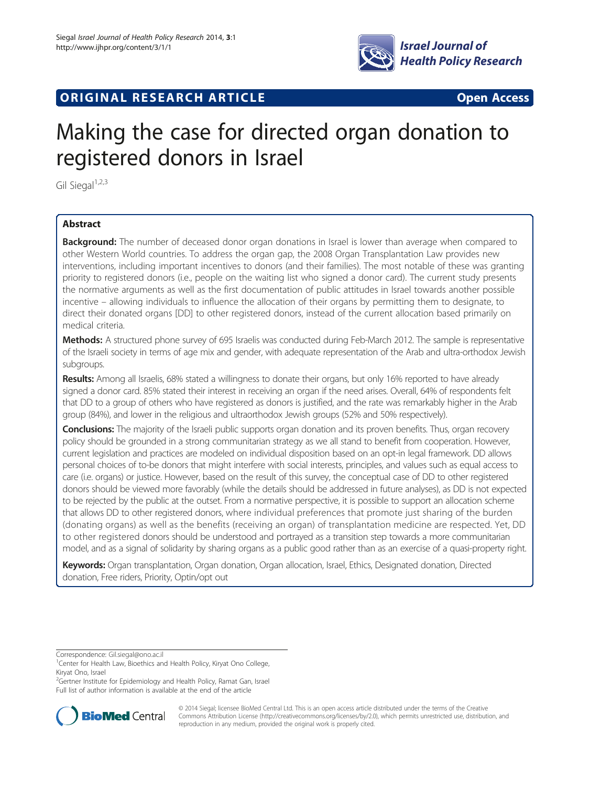

# **ORIGINAL RESEARCH ARTICLE CONSUMING ACCESS**

# Making the case for directed organ donation to registered donors in Israel

Gil Siegal $1,2,3$ 

# Abstract

**Background:** The number of deceased donor organ donations in Israel is lower than average when compared to other Western World countries. To address the organ gap, the 2008 Organ Transplantation Law provides new interventions, including important incentives to donors (and their families). The most notable of these was granting priority to registered donors (i.e., people on the waiting list who signed a donor card). The current study presents the normative arguments as well as the first documentation of public attitudes in Israel towards another possible incentive – allowing individuals to influence the allocation of their organs by permitting them to designate, to direct their donated organs [DD] to other registered donors, instead of the current allocation based primarily on medical criteria.

Methods: A structured phone survey of 695 Israelis was conducted during Feb-March 2012. The sample is representative of the Israeli society in terms of age mix and gender, with adequate representation of the Arab and ultra-orthodox Jewish subgroups.

Results: Among all Israelis, 68% stated a willingness to donate their organs, but only 16% reported to have already signed a donor card. 85% stated their interest in receiving an organ if the need arises. Overall, 64% of respondents felt that DD to a group of others who have registered as donors is justified, and the rate was remarkably higher in the Arab group (84%), and lower in the religious and ultraorthodox Jewish groups (52% and 50% respectively).

Conclusions: The majority of the Israeli public supports organ donation and its proven benefits. Thus, organ recovery policy should be grounded in a strong communitarian strategy as we all stand to benefit from cooperation. However, current legislation and practices are modeled on individual disposition based on an opt-in legal framework. DD allows personal choices of to-be donors that might interfere with social interests, principles, and values such as equal access to care (i.e. organs) or justice. However, based on the result of this survey, the conceptual case of DD to other registered donors should be viewed more favorably (while the details should be addressed in future analyses), as DD is not expected to be rejected by the public at the outset. From a normative perspective, it is possible to support an allocation scheme that allows DD to other registered donors, where individual preferences that promote just sharing of the burden (donating organs) as well as the benefits (receiving an organ) of transplantation medicine are respected. Yet, DD to other registered donors should be understood and portrayed as a transition step towards a more communitarian model, and as a signal of solidarity by sharing organs as a public good rather than as an exercise of a quasi-property right.

Keywords: Organ transplantation, Organ donation, Organ allocation, Israel, Ethics, Designated donation, Directed donation, Free riders, Priority, Optin/opt out

Correspondence: [Gil.siegal@ono.ac.il](mailto:Gil.siegal@ono.ac.il) <sup>1</sup>

<sup>2</sup>Gertner Institute for Epidemiology and Health Policy, Ramat Gan, Israel Full list of author information is available at the end of the article



© 2014 Siegal; licensee BioMed Central Ltd. This is an open access article distributed under the terms of the Creative Commons Attribution License [\(http://creativecommons.org/licenses/by/2.0\)](http://creativecommons.org/licenses/by/2.0), which permits unrestricted use, distribution, and reproduction in any medium, provided the original work is properly cited.

<sup>&</sup>lt;sup>1</sup> Center for Health Law, Bioethics and Health Policy, Kiryat Ono College, Kiryat Ono, Israel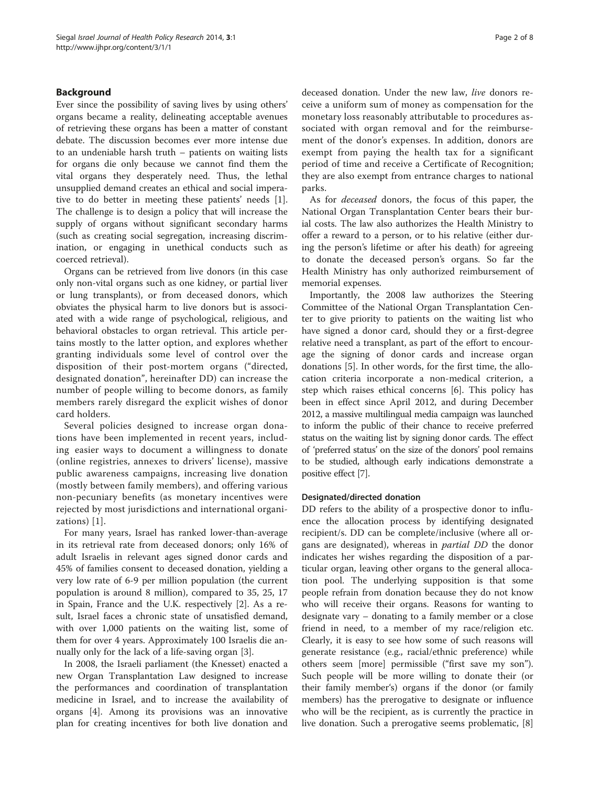# Background

Ever since the possibility of saving lives by using others' organs became a reality, delineating acceptable avenues of retrieving these organs has been a matter of constant debate. The discussion becomes ever more intense due to an undeniable harsh truth – patients on waiting lists for organs die only because we cannot find them the vital organs they desperately need. Thus, the lethal unsupplied demand creates an ethical and social imperative to do better in meeting these patients' needs [\[1](#page-6-0)]. The challenge is to design a policy that will increase the supply of organs without significant secondary harms (such as creating social segregation, increasing discrimination, or engaging in unethical conducts such as coerced retrieval).

Organs can be retrieved from live donors (in this case only non-vital organs such as one kidney, or partial liver or lung transplants), or from deceased donors, which obviates the physical harm to live donors but is associated with a wide range of psychological, religious, and behavioral obstacles to organ retrieval. This article pertains mostly to the latter option, and explores whether granting individuals some level of control over the disposition of their post-mortem organs ("directed, designated donation", hereinafter DD) can increase the number of people willing to become donors, as family members rarely disregard the explicit wishes of donor card holders.

Several policies designed to increase organ donations have been implemented in recent years, including easier ways to document a willingness to donate (online registries, annexes to drivers' license), massive public awareness campaigns, increasing live donation (mostly between family members), and offering various non-pecuniary benefits (as monetary incentives were rejected by most jurisdictions and international organizations) [\[1](#page-6-0)].

For many years, Israel has ranked lower-than-average in its retrieval rate from deceased donors; only 16% of adult Israelis in relevant ages signed donor cards and 45% of families consent to deceased donation, yielding a very low rate of 6-9 per million population (the current population is around 8 million), compared to 35, 25, 17 in Spain, France and the U.K. respectively [\[2](#page-6-0)]. As a result, Israel faces a chronic state of unsatisfied demand, with over 1,000 patients on the waiting list, some of them for over 4 years. Approximately 100 Israelis die annually only for the lack of a life-saving organ [\[3](#page-6-0)].

In 2008, the Israeli parliament (the Knesset) enacted a new Organ Transplantation Law designed to increase the performances and coordination of transplantation medicine in Israel, and to increase the availability of organs [\[4](#page-6-0)]. Among its provisions was an innovative plan for creating incentives for both live donation and deceased donation. Under the new law, live donors receive a uniform sum of money as compensation for the monetary loss reasonably attributable to procedures associated with organ removal and for the reimbursement of the donor's expenses. In addition, donors are exempt from paying the health tax for a significant period of time and receive a Certificate of Recognition; they are also exempt from entrance charges to national parks.

As for deceased donors, the focus of this paper, the National Organ Transplantation Center bears their burial costs. The law also authorizes the Health Ministry to offer a reward to a person, or to his relative (either during the person's lifetime or after his death) for agreeing to donate the deceased person's organs. So far the Health Ministry has only authorized reimbursement of memorial expenses.

Importantly, the 2008 law authorizes the Steering Committee of the National Organ Transplantation Center to give priority to patients on the waiting list who have signed a donor card, should they or a first-degree relative need a transplant, as part of the effort to encourage the signing of donor cards and increase organ donations [\[5](#page-6-0)]. In other words, for the first time, the allocation criteria incorporate a non-medical criterion, a step which raises ethical concerns [\[6](#page-6-0)]. This policy has been in effect since April 2012, and during December 2012, a massive multilingual media campaign was launched to inform the public of their chance to receive preferred status on the waiting list by signing donor cards. The effect of 'preferred status' on the size of the donors' pool remains to be studied, although early indications demonstrate a positive effect [[7\]](#page-7-0).

#### Designated/directed donation

DD refers to the ability of a prospective donor to influence the allocation process by identifying designated recipient/s. DD can be complete/inclusive (where all organs are designated), whereas in *partial DD* the donor indicates her wishes regarding the disposition of a particular organ, leaving other organs to the general allocation pool. The underlying supposition is that some people refrain from donation because they do not know who will receive their organs. Reasons for wanting to designate vary – donating to a family member or a close friend in need, to a member of my race/religion etc. Clearly, it is easy to see how some of such reasons will generate resistance (e.g., racial/ethnic preference) while others seem [more] permissible ("first save my son"). Such people will be more willing to donate their (or their family member's) organs if the donor (or family members) has the prerogative to designate or influence who will be the recipient, as is currently the practice in live donation. Such a prerogative seems problematic, [\[8](#page-7-0)]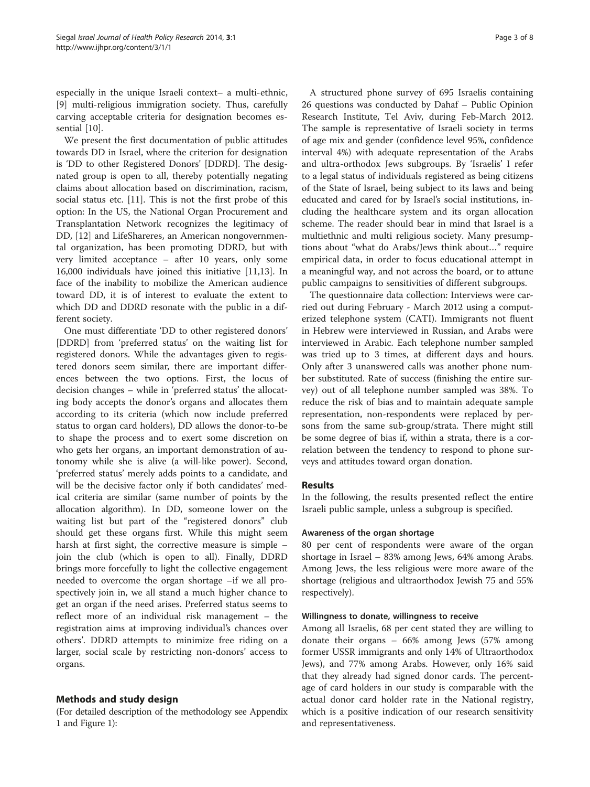especially in the unique Israeli context– a multi-ethnic, [[9\]](#page-7-0) multi-religious immigration society. Thus, carefully carving acceptable criteria for designation becomes essential [\[10\]](#page-7-0).

We present the first documentation of public attitudes towards DD in Israel, where the criterion for designation is 'DD to other Registered Donors' [DDRD]. The designated group is open to all, thereby potentially negating claims about allocation based on discrimination, racism, social status etc. [[11\]](#page-7-0). This is not the first probe of this option: In the US, the National Organ Procurement and Transplantation Network recognizes the legitimacy of DD, [\[12](#page-7-0)] and LifeShareres, an American nongovernmental organization, has been promoting DDRD, but with very limited acceptance – after 10 years, only some 16,000 individuals have joined this initiative [\[11,13](#page-7-0)]. In face of the inability to mobilize the American audience toward DD, it is of interest to evaluate the extent to which DD and DDRD resonate with the public in a different society.

One must differentiate 'DD to other registered donors' [DDRD] from 'preferred status' on the waiting list for registered donors. While the advantages given to registered donors seem similar, there are important differences between the two options. First, the locus of decision changes – while in 'preferred status' the allocating body accepts the donor's organs and allocates them according to its criteria (which now include preferred status to organ card holders), DD allows the donor-to-be to shape the process and to exert some discretion on who gets her organs, an important demonstration of autonomy while she is alive (a will-like power). Second, 'preferred status' merely adds points to a candidate, and will be the decisive factor only if both candidates' medical criteria are similar (same number of points by the allocation algorithm). In DD, someone lower on the waiting list but part of the "registered donors" club should get these organs first. While this might seem harsh at first sight, the corrective measure is simple – join the club (which is open to all). Finally, DDRD brings more forcefully to light the collective engagement needed to overcome the organ shortage –if we all prospectively join in, we all stand a much higher chance to get an organ if the need arises. Preferred status seems to reflect more of an individual risk management – the registration aims at improving individual's chances over others'. DDRD attempts to minimize free riding on a larger, social scale by restricting non-donors' access to organs.

# Methods and study design

(For detailed description of the methodology see [Appendix](#page-5-0) [1](#page-5-0) and Figure [1](#page-3-0)):

A structured phone survey of 695 Israelis containing 26 questions was conducted by Dahaf – Public Opinion Research Institute, Tel Aviv, during Feb-March 2012. The sample is representative of Israeli society in terms of age mix and gender (confidence level 95%, confidence interval 4%) with adequate representation of the Arabs and ultra-orthodox Jews subgroups. By 'Israelis' I refer to a legal status of individuals registered as being citizens of the State of Israel, being subject to its laws and being educated and cared for by Israel's social institutions, including the healthcare system and its organ allocation scheme. The reader should bear in mind that Israel is a multiethnic and multi religious society. Many presumptions about "what do Arabs/Jews think about…" require empirical data, in order to focus educational attempt in a meaningful way, and not across the board, or to attune public campaigns to sensitivities of different subgroups.

The questionnaire data collection: Interviews were carried out during February - March 2012 using a computerized telephone system (CATI). Immigrants not fluent in Hebrew were interviewed in Russian, and Arabs were interviewed in Arabic. Each telephone number sampled was tried up to 3 times, at different days and hours. Only after 3 unanswered calls was another phone number substituted. Rate of success (finishing the entire survey) out of all telephone number sampled was 38%. To reduce the risk of bias and to maintain adequate sample representation, non-respondents were replaced by persons from the same sub-group/strata. There might still be some degree of bias if, within a strata, there is a correlation between the tendency to respond to phone surveys and attitudes toward organ donation.

# Results

In the following, the results presented reflect the entire Israeli public sample, unless a subgroup is specified.

#### Awareness of the organ shortage

80 per cent of respondents were aware of the organ shortage in Israel – 83% among Jews, 64% among Arabs. Among Jews, the less religious were more aware of the shortage (religious and ultraorthodox Jewish 75 and 55% respectively).

#### Willingness to donate, willingness to receive

Among all Israelis, 68 per cent stated they are willing to donate their organs – 66% among Jews (57% among former USSR immigrants and only 14% of Ultraorthodox Jews), and 77% among Arabs. However, only 16% said that they already had signed donor cards. The percentage of card holders in our study is comparable with the actual donor card holder rate in the National registry, which is a positive indication of our research sensitivity and representativeness.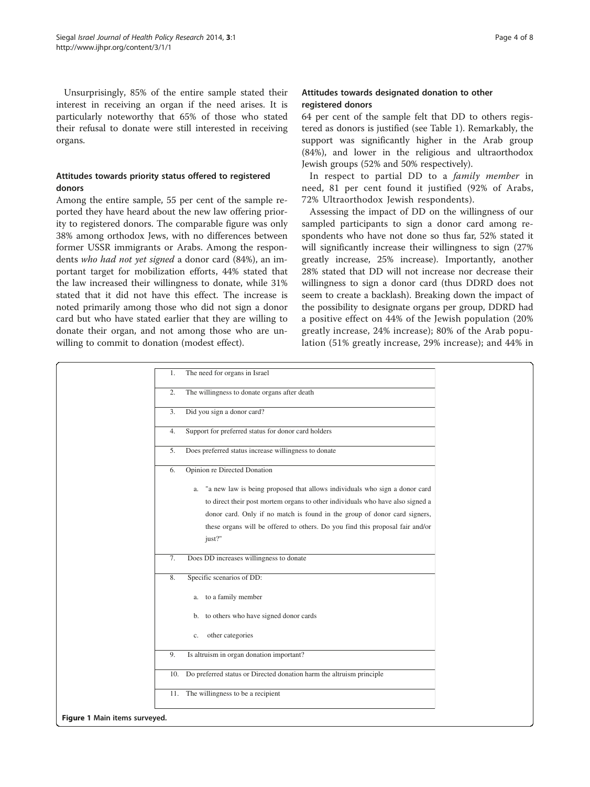<span id="page-3-0"></span>Unsurprisingly, 85% of the entire sample stated their interest in receiving an organ if the need arises. It is particularly noteworthy that 65% of those who stated their refusal to donate were still interested in receiving organs.

# Attitudes towards priority status offered to registered donors

Among the entire sample, 55 per cent of the sample reported they have heard about the new law offering priority to registered donors. The comparable figure was only 38% among orthodox Jews, with no differences between former USSR immigrants or Arabs. Among the respondents who had not yet signed a donor card (84%), an important target for mobilization efforts, 44% stated that the law increased their willingness to donate, while 31% stated that it did not have this effect. The increase is noted primarily among those who did not sign a donor card but who have stated earlier that they are willing to donate their organ, and not among those who are unwilling to commit to donation (modest effect).

# Attitudes towards designated donation to other registered donors

64 per cent of the sample felt that DD to others registered as donors is justified (see Table [1](#page-4-0)). Remarkably, the support was significantly higher in the Arab group (84%), and lower in the religious and ultraorthodox Jewish groups (52% and 50% respectively).

In respect to partial DD to a family member in need, 81 per cent found it justified (92% of Arabs, 72% Ultraorthodox Jewish respondents).

Assessing the impact of DD on the willingness of our sampled participants to sign a donor card among respondents who have not done so thus far, 52% stated it will significantly increase their willingness to sign (27% greatly increase, 25% increase). Importantly, another 28% stated that DD will not increase nor decrease their willingness to sign a donor card (thus DDRD does not seem to create a backlash). Breaking down the impact of the possibility to designate organs per group, DDRD had a positive effect on 44% of the Jewish population (20% greatly increase, 24% increase); 80% of the Arab population (51% greatly increase, 29% increase); and 44% in

| 1.                            | The need for organs in Israel                                                    |  |
|-------------------------------|----------------------------------------------------------------------------------|--|
| 2.                            | The willingness to donate organs after death                                     |  |
|                               |                                                                                  |  |
| 3.                            | Did you sign a donor card?                                                       |  |
| 4.                            | Support for preferred status for donor card holders                              |  |
| 5.                            | Does preferred status increase willingness to donate                             |  |
| 6.                            | Opinion re Directed Donation                                                     |  |
|                               | "a new law is being proposed that allows individuals who sign a donor card<br>a. |  |
|                               | to direct their post mortem organs to other individuals who have also signed a   |  |
|                               | donor card. Only if no match is found in the group of donor card signers,        |  |
|                               | these organs will be offered to others. Do you find this proposal fair and/or    |  |
|                               | just?"                                                                           |  |
| 7.                            | Does DD increases willingness to donate                                          |  |
| 8.                            | Specific scenarios of DD:                                                        |  |
|                               | a. to a family member                                                            |  |
|                               | b. to others who have signed donor cards                                         |  |
|                               | other categories<br>c.                                                           |  |
| 9.                            | Is altruism in organ donation important?                                         |  |
| 10.                           | Do preferred status or Directed donation harm the altruism principle             |  |
|                               | 11. The willingness to be a recipient                                            |  |
| Figure 1 Main items surveyed. |                                                                                  |  |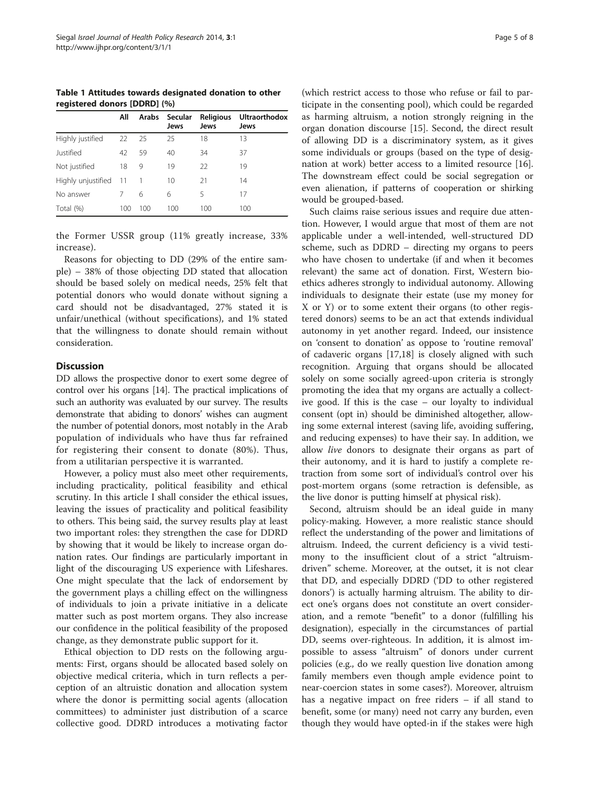<span id="page-4-0"></span>Table 1 Attitudes towards designated donation to other registered donors [DDRD] (%)

|                       | All |     | Arabs Secular<br>Jews | Religious<br>Jews | Ultraorthodox<br>Jews |
|-----------------------|-----|-----|-----------------------|-------------------|-----------------------|
| Highly justified      | 22  | 25  | 25                    | 18                | 13                    |
| Justified             | 42  | 59  | 40                    | 34                | 37                    |
| Not justified         | 18  | 9   | 19                    | 22                | 19                    |
| Highly unjustified 11 |     |     | 10                    | 21                | 14                    |
| No answer             |     | 6   | 6                     | 5                 | 17                    |
| Total (%)             | 100 | 100 | 100                   | 100               | 100                   |

the Former USSR group (11% greatly increase, 33% increase).

Reasons for objecting to DD (29% of the entire sample) – 38% of those objecting DD stated that allocation should be based solely on medical needs, 25% felt that potential donors who would donate without signing a card should not be disadvantaged, 27% stated it is unfair/unethical (without specifications), and 1% stated that the willingness to donate should remain without consideration.

# **Discussion**

DD allows the prospective donor to exert some degree of control over his organs [\[14](#page-7-0)]. The practical implications of such an authority was evaluated by our survey. The results demonstrate that abiding to donors' wishes can augment the number of potential donors, most notably in the Arab population of individuals who have thus far refrained for registering their consent to donate (80%). Thus, from a utilitarian perspective it is warranted.

However, a policy must also meet other requirements, including practicality, political feasibility and ethical scrutiny. In this article I shall consider the ethical issues, leaving the issues of practicality and political feasibility to others. This being said, the survey results play at least two important roles: they strengthen the case for DDRD by showing that it would be likely to increase organ donation rates. Our findings are particularly important in light of the discouraging US experience with Lifeshares. One might speculate that the lack of endorsement by the government plays a chilling effect on the willingness of individuals to join a private initiative in a delicate matter such as post mortem organs. They also increase our confidence in the political feasibility of the proposed change, as they demonstrate public support for it.

Ethical objection to DD rests on the following arguments: First, organs should be allocated based solely on objective medical criteria, which in turn reflects a perception of an altruistic donation and allocation system where the donor is permitting social agents (allocation committees) to administer just distribution of a scarce collective good. DDRD introduces a motivating factor

(which restrict access to those who refuse or fail to participate in the consenting pool), which could be regarded as harming altruism, a notion strongly reigning in the organ donation discourse [\[15\]](#page-7-0). Second, the direct result of allowing DD is a discriminatory system, as it gives some individuals or groups (based on the type of designation at work) better access to a limited resource [\[16](#page-7-0)]. The downstream effect could be social segregation or even alienation, if patterns of cooperation or shirking would be grouped-based.

Such claims raise serious issues and require due attention. However, I would argue that most of them are not applicable under a well-intended, well-structured DD scheme, such as DDRD – directing my organs to peers who have chosen to undertake (if and when it becomes relevant) the same act of donation. First, Western bioethics adheres strongly to individual autonomy. Allowing individuals to designate their estate (use my money for X or Y) or to some extent their organs (to other registered donors) seems to be an act that extends individual autonomy in yet another regard. Indeed, our insistence on 'consent to donation' as oppose to 'routine removal' of cadaveric organs [\[17,18](#page-7-0)] is closely aligned with such recognition. Arguing that organs should be allocated solely on some socially agreed-upon criteria is strongly promoting the idea that my organs are actually a collective good. If this is the case – our loyalty to individual consent (opt in) should be diminished altogether, allowing some external interest (saving life, avoiding suffering, and reducing expenses) to have their say. In addition, we allow live donors to designate their organs as part of their autonomy, and it is hard to justify a complete retraction from some sort of individual's control over his post-mortem organs (some retraction is defensible, as the live donor is putting himself at physical risk).

Second, altruism should be an ideal guide in many policy-making. However, a more realistic stance should reflect the understanding of the power and limitations of altruism. Indeed, the current deficiency is a vivid testimony to the insufficient clout of a strict "altruismdriven" scheme. Moreover, at the outset, it is not clear that DD, and especially DDRD ('DD to other registered donors') is actually harming altruism. The ability to direct one's organs does not constitute an overt consideration, and a remote "benefit" to a donor (fulfilling his designation), especially in the circumstances of partial DD, seems over-righteous. In addition, it is almost impossible to assess "altruism" of donors under current policies (e.g., do we really question live donation among family members even though ample evidence point to near-coercion states in some cases?). Moreover, altruism has a negative impact on free riders – if all stand to benefit, some (or many) need not carry any burden, even though they would have opted-in if the stakes were high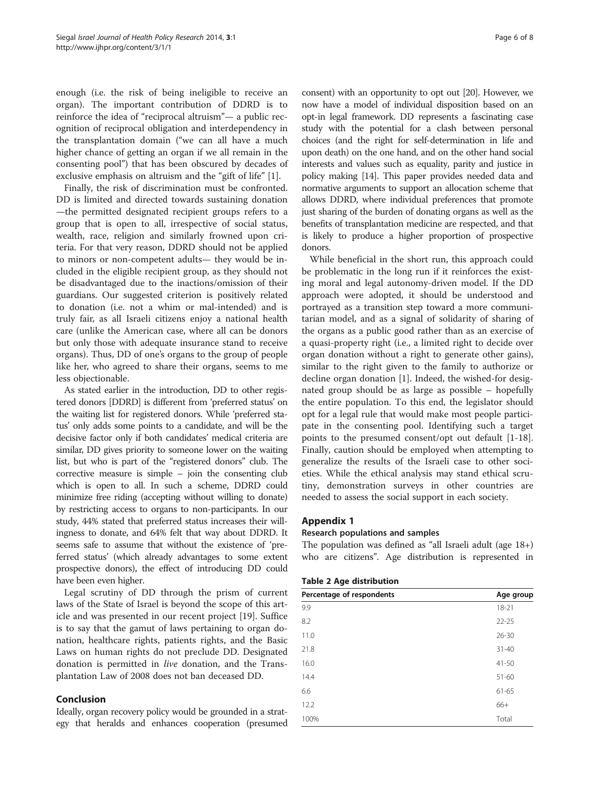<span id="page-5-0"></span>enough (i.e. the risk of being ineligible to receive an organ). The important contribution of DDRD is to reinforce the idea of "reciprocal altruism"— a public recognition of reciprocal obligation and interdependency in the transplantation domain ("we can all have a much higher chance of getting an organ if we all remain in the consenting pool") that has been obscured by decades of exclusive emphasis on altruism and the "gift of life" [[1](#page-6-0)].

Finally, the risk of discrimination must be confronted. DD is limited and directed towards sustaining donation —the permitted designated recipient groups refers to a group that is open to all, irrespective of social status, wealth, race, religion and similarly frowned upon criteria. For that very reason, DDRD should not be applied to minors or non-competent adults— they would be included in the eligible recipient group, as they should not be disadvantaged due to the inactions/omission of their guardians. Our suggested criterion is positively related to donation (i.e. not a whim or mal-intended) and is truly fair, as all Israeli citizens enjoy a national health care (unlike the American case, where all can be donors but only those with adequate insurance stand to receive organs). Thus, DD of one's organs to the group of people like her, who agreed to share their organs, seems to me less objectionable.

As stated earlier in the introduction, DD to other registered donors [DDRD] is different from 'preferred status' on the waiting list for registered donors. While 'preferred status' only adds some points to a candidate, and will be the decisive factor only if both candidates' medical criteria are similar, DD gives priority to someone lower on the waiting list, but who is part of the "registered donors" club. The corrective measure is simple – join the consenting club which is open to all. In such a scheme, DDRD could minimize free riding (accepting without willing to donate) by restricting access to organs to non-participants. In our study, 44% stated that preferred status increases their willingness to donate, and 64% felt that way about DDRD. It seems safe to assume that without the existence of 'preferred status' (which already advantages to some extent prospective donors), the effect of introducing DD could have been even higher.

Legal scrutiny of DD through the prism of current laws of the State of Israel is beyond the scope of this article and was presented in our recent project [[19\]](#page-7-0). Suffice is to say that the gamut of laws pertaining to organ donation, healthcare rights, patients rights, and the Basic Laws on human rights do not preclude DD. Designated donation is permitted in live donation, and the Transplantation Law of 2008 does not ban deceased DD.

# Conclusion

Ideally, organ recovery policy would be grounded in a strategy that heralds and enhances cooperation (presumed

consent) with an opportunity to opt out [\[20\]](#page-7-0). However, we now have a model of individual disposition based on an opt-in legal framework. DD represents a fascinating case study with the potential for a clash between personal choices (and the right for self-determination in life and upon death) on the one hand, and on the other hand social interests and values such as equality, parity and justice in policy making [\[14\]](#page-7-0). This paper provides needed data and normative arguments to support an allocation scheme that allows DDRD, where individual preferences that promote just sharing of the burden of donating organs as well as the benefits of transplantation medicine are respected, and that is likely to produce a higher proportion of prospective donors.

While beneficial in the short run, this approach could be problematic in the long run if it reinforces the existing moral and legal autonomy-driven model. If the DD approach were adopted, it should be understood and portrayed as a transition step toward a more communitarian model, and as a signal of solidarity of sharing of the organs as a public good rather than as an exercise of a quasi-property right (i.e., a limited right to decide over organ donation without a right to generate other gains), similar to the right given to the family to authorize or decline organ donation [[1\]](#page-6-0). Indeed, the wished-for designated group should be as large as possible – hopefully the entire population. To this end, the legislator should opt for a legal rule that would make most people participate in the consenting pool. Identifying such a target points to the presumed consent/opt out default [[1](#page-6-0)[-18](#page-7-0)]. Finally, caution should be employed when attempting to generalize the results of the Israeli case to other societies. While the ethical analysis may stand ethical scrutiny, demonstration surveys in other countries are needed to assess the social support in each society.

#### Appendix 1

#### Research populations and samples

The population was defined as "all Israeli adult (age 18+) who are citizens". Age distribution is represented in

|  |  |  | <b>Table 2 Age distribution</b> |  |
|--|--|--|---------------------------------|--|
|--|--|--|---------------------------------|--|

| Percentage of respondents | Age group |  |
|---------------------------|-----------|--|
| 9.9                       | $18 - 21$ |  |
| 8.2                       | $22 - 25$ |  |
| 11.0                      | $26 - 30$ |  |
| 21.8                      | $31 - 40$ |  |
| 16.0                      | $41 - 50$ |  |
| 14.4                      | $51 - 60$ |  |
| 6.6                       | $61 - 65$ |  |
| 12.2                      | 66+       |  |
| 100%                      | Total     |  |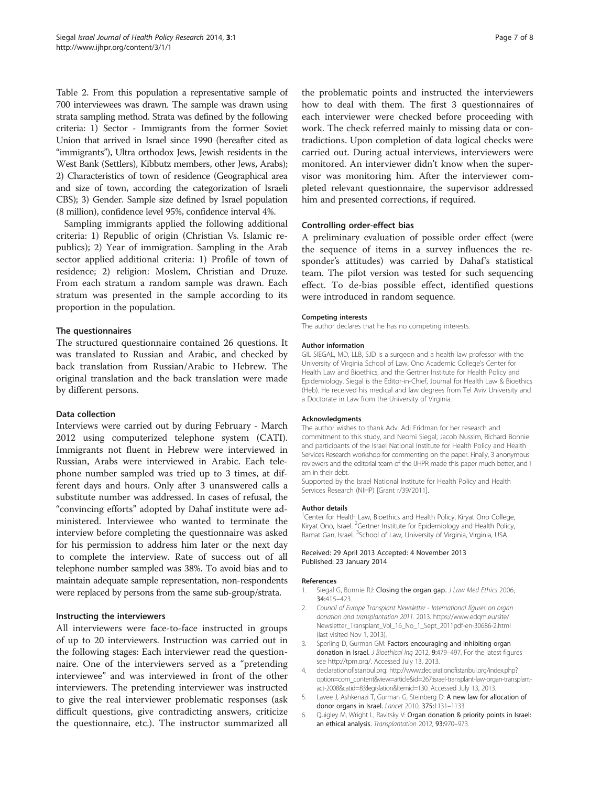<span id="page-6-0"></span>Table [2](#page-5-0). From this population a representative sample of 700 interviewees was drawn. The sample was drawn using strata sampling method. Strata was defined by the following criteria: 1) Sector - Immigrants from the former Soviet Union that arrived in Israel since 1990 (hereafter cited as "immigrants"), Ultra orthodox Jews, Jewish residents in the West Bank (Settlers), Kibbutz members, other Jews, Arabs); 2) Characteristics of town of residence (Geographical area and size of town, according the categorization of Israeli CBS); 3) Gender. Sample size defined by Israel population (8 million), confidence level 95%, confidence interval 4%.

Sampling immigrants applied the following additional criteria: 1) Republic of origin (Christian Vs. Islamic republics); 2) Year of immigration. Sampling in the Arab sector applied additional criteria: 1) Profile of town of residence; 2) religion: Moslem, Christian and Druze. From each stratum a random sample was drawn. Each stratum was presented in the sample according to its proportion in the population.

#### The questionnaires

The structured questionnaire contained 26 questions. It was translated to Russian and Arabic, and checked by back translation from Russian/Arabic to Hebrew. The original translation and the back translation were made by different persons.

#### Data collection

Interviews were carried out by during February - March 2012 using computerized telephone system (CATI). Immigrants not fluent in Hebrew were interviewed in Russian, Arabs were interviewed in Arabic. Each telephone number sampled was tried up to 3 times, at different days and hours. Only after 3 unanswered calls a substitute number was addressed. In cases of refusal, the "convincing efforts" adopted by Dahaf institute were administered. Interviewee who wanted to terminate the interview before completing the questionnaire was asked for his permission to address him later or the next day to complete the interview. Rate of success out of all telephone number sampled was 38%. To avoid bias and to maintain adequate sample representation, non-respondents were replaced by persons from the same sub-group/strata.

#### Instructing the interviewers

All interviewers were face-to-face instructed in groups of up to 20 interviewers. Instruction was carried out in the following stages: Each interviewer read the questionnaire. One of the interviewers served as a "pretending interviewee" and was interviewed in front of the other interviewers. The pretending interviewer was instructed to give the real interviewer problematic responses (ask difficult questions, give contradicting answers, criticize the questionnaire, etc.). The instructor summarized all the problematic points and instructed the interviewers how to deal with them. The first 3 questionnaires of each interviewer were checked before proceeding with work. The check referred mainly to missing data or contradictions. Upon completion of data logical checks were carried out. During actual interviews, interviewers were monitored. An interviewer didn't know when the supervisor was monitoring him. After the interviewer completed relevant questionnaire, the supervisor addressed him and presented corrections, if required.

#### Controlling order-effect bias

A preliminary evaluation of possible order effect (were the sequence of items in a survey influences the responder's attitudes) was carried by Dahaf's statistical team. The pilot version was tested for such sequencing effect. To de-bias possible effect, identified questions were introduced in random sequence.

#### Competing interests

The author declares that he has no competing interests.

#### Author information

GIL SIEGAL, MD, LLB, SJD is a surgeon and a health law professor with the University of Virginia School of Law, Ono Academic College's Center for Health Law and Bioethics, and the Gertner Institute for Health Policy and Epidemiology. Siegal is the Editor-in-Chief, Journal for Health Law & Bioethics (Heb). He received his medical and law degrees from Tel Aviv University and a Doctorate in Law from the University of Virginia.

#### Acknowledgments

The author wishes to thank Adv. Adi Fridman for her research and commitment to this study, and Neomi Siegal, Jacob Nussim, Richard Bonnie and participants of the Israel National Institute for Health Policy and Health Services Research workshop for commenting on the paper. Finally, 3 anonymous reviewers and the editorial team of the IJHPR made this paper much better, and I am in their debt.

Supported by the Israel National Institute for Health Policy and Health Services Research (NIHP) [Grant r/39/2011].

#### Author details

<sup>1</sup> Center for Health Law, Bioethics and Health Policy, Kiryat Ono College, Kiryat Ono, Israel. <sup>2</sup>Gertner Institute for Epidemiology and Health Policy Ramat Gan, Israel. <sup>3</sup>School of Law, University of Virginia, Virginia, USA

#### Received: 29 April 2013 Accepted: 4 November 2013 Published: 23 January 2014

#### References

- 1. Siegal G, Bonnie RJ: Closing the organ gap. J Law Med Ethics 2006, 34:415–423.
- 2. Council of Europe Transplant Newsletter International figures on organ donation and transplantation 2011. 2013. [https://www.edqm.eu/site/](https://www.edqm.eu/site/Newsletter_Transplant_Vol_16_No_1_Sept_2011pdf-en-30686-2.html) [Newsletter\\_Transplant\\_Vol\\_16\\_No\\_1\\_Sept\\_2011pdf-en-30686-2.html](https://www.edqm.eu/site/Newsletter_Transplant_Vol_16_No_1_Sept_2011pdf-en-30686-2.html) (last visited Nov 1, 2013).
- 3. Sperling D, Gurman GM: Factors encouraging and inhibiting organ donation in Israel. J Bioethical Inq 2012, 9:479-497. For the latest figures see<http://tpm.org/>. Accessed July 13, 2013.
- 4. declarationofistanbul.org: [http://www.declarationofistanbul.org/index.php?](http://www.declarationofistanbul.org/index.php?option=com_content&view=article&id=267:israel-transplant-law-organ-transplant-act-2008&catid=83:legislation&Itemid=130) [option=com\\_content&view=article&id=267:israel-transplant-law-organ-transplant](http://www.declarationofistanbul.org/index.php?option=com_content&view=article&id=267:israel-transplant-law-organ-transplant-act-2008&catid=83:legislation&Itemid=130)[act-2008&catid=83:legislation&Itemid=130.](http://www.declarationofistanbul.org/index.php?option=com_content&view=article&id=267:israel-transplant-law-organ-transplant-act-2008&catid=83:legislation&Itemid=130) Accessed July 13, 2013.
- 5. Lavee J, Ashkenazi T, Gurman G, Steinberg D: A new law for allocation of donor organs in Israel. Lancet 2010, 375:1131–1133.
- 6. Quigley M, Wright L, Ravitsky V: Organ donation & priority points in Israel: an ethical analysis. Transplantation 2012, 93:970–973.